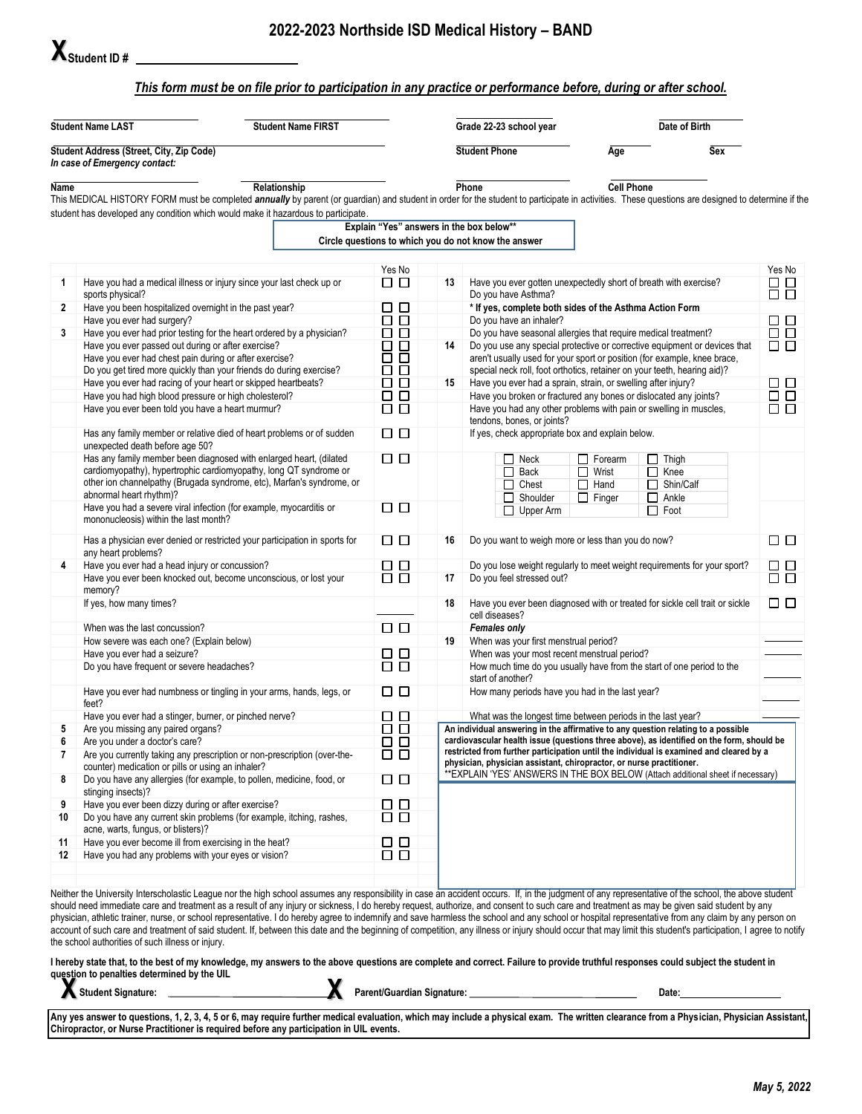## *This form must be on file prior to participation in any practice or performance before, during or after school.*

| <b>Student Name LAST</b>                                                  |                                                                                                              | <b>Student Name FIRST</b>                                                                                                                                                                                                                                                             |                  |                                                                                                 | Grade 22-23 school year                                                                                                                                                              |                                | Date of Birth    |               |  |  |
|---------------------------------------------------------------------------|--------------------------------------------------------------------------------------------------------------|---------------------------------------------------------------------------------------------------------------------------------------------------------------------------------------------------------------------------------------------------------------------------------------|------------------|-------------------------------------------------------------------------------------------------|--------------------------------------------------------------------------------------------------------------------------------------------------------------------------------------|--------------------------------|------------------|---------------|--|--|
| Student Address (Street, City, Zip Code)<br>In case of Emergency contact: |                                                                                                              |                                                                                                                                                                                                                                                                                       |                  |                                                                                                 | <b>Student Phone</b>                                                                                                                                                                 | Age                            | Sex              |               |  |  |
| Name                                                                      |                                                                                                              | Relationship                                                                                                                                                                                                                                                                          |                  |                                                                                                 | Phone                                                                                                                                                                                | <b>Cell Phone</b>              |                  |               |  |  |
|                                                                           |                                                                                                              | This MEDICAL HISTORY FORM must be completed annually by parent (or guardian) and student in order for the student to participate in activities. These questions are designed to determine if the<br>student has developed any condition which would make it hazardous to participate. |                  |                                                                                                 |                                                                                                                                                                                      |                                |                  |               |  |  |
|                                                                           |                                                                                                              |                                                                                                                                                                                                                                                                                       |                  |                                                                                                 | Explain "Yes" answers in the box below**                                                                                                                                             |                                |                  |               |  |  |
|                                                                           |                                                                                                              |                                                                                                                                                                                                                                                                                       |                  |                                                                                                 | Circle questions to which you do not know the answer                                                                                                                                 |                                |                  |               |  |  |
|                                                                           |                                                                                                              |                                                                                                                                                                                                                                                                                       | Yes No           |                                                                                                 |                                                                                                                                                                                      |                                |                  | Yes No        |  |  |
| 1                                                                         |                                                                                                              | Have you had a medical illness or injury since your last check up or                                                                                                                                                                                                                  | □□               | 13                                                                                              | Have you ever gotten unexpectedly short of breath with exercise?                                                                                                                     |                                |                  | □□<br>ŌŌ      |  |  |
| $\mathbf{2}$                                                              | sports physical?<br>Have you been hospitalized overnight in the past year?                                   |                                                                                                                                                                                                                                                                                       | $\Box$ $\Box$    |                                                                                                 | Do you have Asthma?<br>* If yes, complete both sides of the Asthma Action Form                                                                                                       |                                |                  |               |  |  |
|                                                                           | Have you ever had surgery?                                                                                   |                                                                                                                                                                                                                                                                                       | $\Box$ $\Box$    |                                                                                                 | Do you have an inhaler?                                                                                                                                                              |                                |                  | $\Box$        |  |  |
| 3                                                                         |                                                                                                              | Have you ever had prior testing for the heart ordered by a physician?                                                                                                                                                                                                                 | $\Box$ $\Box$    |                                                                                                 | Do you have seasonal allergies that require medical treatment?                                                                                                                       |                                |                  | $\Box$        |  |  |
|                                                                           | Have you ever passed out during or after exercise?                                                           | □□                                                                                                                                                                                                                                                                                    | 14               | Do you use any special protective or corrective equipment or devices that                       |                                                                                                                                                                                      | $\Box$ $\Box$                  |                  |               |  |  |
|                                                                           | Have you ever had chest pain during or after exercise?                                                       |                                                                                                                                                                                                                                                                                       | □<br>$\Box$      |                                                                                                 | aren't usually used for your sport or position (for example, knee brace,                                                                                                             |                                |                  |               |  |  |
|                                                                           |                                                                                                              | Do you get tired more quickly than your friends do during exercise?                                                                                                                                                                                                                   | $\Box$<br>□      |                                                                                                 | special neck roll, foot orthotics, retainer on your teeth, hearing aid)?                                                                                                             |                                |                  |               |  |  |
|                                                                           | Have you ever had racing of your heart or skipped heartbeats?                                                | □□                                                                                                                                                                                                                                                                                    | 15               | Have you ever had a sprain, strain, or swelling after injury?                                   |                                                                                                                                                                                      | $\Box$                         |                  |               |  |  |
|                                                                           | Have you had high blood pressure or high cholesterol?                                                        | $\Box$                                                                                                                                                                                                                                                                                |                  |                                                                                                 | Have you broken or fractured any bones or dislocated any joints?                                                                                                                     |                                |                  |               |  |  |
|                                                                           | Have you ever been told you have a heart murmur?                                                             | $\Box$ $\Box$                                                                                                                                                                                                                                                                         |                  | Have you had any other problems with pain or swelling in muscles,<br>tendons, bones, or joints? |                                                                                                                                                                                      |                                |                  |               |  |  |
|                                                                           | unexpected death before age 50?                                                                              | Has any family member or relative died of heart problems or of sudden                                                                                                                                                                                                                 | $\Box$           |                                                                                                 | If yes, check appropriate box and explain below.                                                                                                                                     |                                |                  |               |  |  |
|                                                                           |                                                                                                              | Has any family member been diagnosed with enlarged heart, (dilated                                                                                                                                                                                                                    | $\Box$           |                                                                                                 | $\Box$ Neck                                                                                                                                                                          | $\Box$ Forearm<br>$\Box$ Thigh |                  |               |  |  |
|                                                                           |                                                                                                              | cardiomyopathy), hypertrophic cardiomyopathy, long QT syndrome or                                                                                                                                                                                                                     |                  |                                                                                                 | $\Box$ Back                                                                                                                                                                          | $\Box$ Wrist<br>$\Box$ Knee    |                  |               |  |  |
|                                                                           |                                                                                                              | other ion channelpathy (Brugada syndrome, etc), Marfan's syndrome, or                                                                                                                                                                                                                 |                  |                                                                                                 | $\Box$ Chest                                                                                                                                                                         | $\Box$ Hand                    | $\Box$ Shin/Calf |               |  |  |
|                                                                           | abnormal heart rhythm)?                                                                                      |                                                                                                                                                                                                                                                                                       |                  |                                                                                                 | Shoulder                                                                                                                                                                             | $\Box$ Finger<br>$\Box$ Ankle  |                  |               |  |  |
|                                                                           | mononucleosis) within the last month?                                                                        | Have you had a severe viral infection (for example, myocarditis or                                                                                                                                                                                                                    | $\Box$           |                                                                                                 | $\Box$ Upper Arm                                                                                                                                                                     | $\Box$ Foot                    |                  |               |  |  |
|                                                                           | any heart problems?                                                                                          | Has a physician ever denied or restricted your participation in sports for                                                                                                                                                                                                            | $\Box$           | 16                                                                                              | Do you want to weigh more or less than you do now?                                                                                                                                   |                                |                  | $\Box$        |  |  |
| 4                                                                         | Have you ever had a head injury or concussion?                                                               | □□                                                                                                                                                                                                                                                                                    |                  | Do you lose weight regularly to meet weight requirements for your sport?                        |                                                                                                                                                                                      | $\Box$                         |                  |               |  |  |
|                                                                           | Have you ever been knocked out, become unconscious, or lost your<br>memory?                                  | $\Box$                                                                                                                                                                                                                                                                                | 17               | Do you feel stressed out?                                                                       |                                                                                                                                                                                      | $\Box$ $\Box$                  |                  |               |  |  |
|                                                                           | If yes, how many times?                                                                                      |                                                                                                                                                                                                                                                                                       |                  | 18                                                                                              | Have you ever been diagnosed with or treated for sickle cell trait or sickle<br>cell diseases?                                                                                       |                                |                  | $\Box$ $\Box$ |  |  |
|                                                                           | When was the last concussion?                                                                                |                                                                                                                                                                                                                                                                                       | $\Box$           |                                                                                                 | Females only                                                                                                                                                                         |                                |                  |               |  |  |
|                                                                           | How severe was each one? (Explain below)                                                                     |                                                                                                                                                                                                                                                                                       |                  | 19                                                                                              | When was your first menstrual period?                                                                                                                                                |                                |                  |               |  |  |
|                                                                           | Have you ever had a seizure?                                                                                 |                                                                                                                                                                                                                                                                                       | $\Box$           |                                                                                                 | When was your most recent menstrual period?                                                                                                                                          |                                |                  |               |  |  |
|                                                                           | Do you have frequent or severe headaches?                                                                    | $\Box$ $\Box$                                                                                                                                                                                                                                                                         |                  | How much time do you usually have from the start of one period to the<br>start of another?      |                                                                                                                                                                                      |                                |                  |               |  |  |
|                                                                           | Have you ever had numbness or tingling in your arms, hands, legs, or<br>feet?                                | □□                                                                                                                                                                                                                                                                                    |                  | How many periods have you had in the last year?                                                 |                                                                                                                                                                                      |                                |                  |               |  |  |
|                                                                           | Have you ever had a stinger, burner, or pinched nerve?                                                       |                                                                                                                                                                                                                                                                                       | □□               |                                                                                                 | What was the longest time between periods in the last year?                                                                                                                          |                                |                  |               |  |  |
| 5                                                                         | Are you missing any paired organs?                                                                           |                                                                                                                                                                                                                                                                                       | $\Box$ $\Box$    |                                                                                                 | An individual answering in the affirmative to any question relating to a possible                                                                                                    |                                |                  |               |  |  |
| b                                                                         | Are you under a doctor's care?                                                                               |                                                                                                                                                                                                                                                                                       | $\Box$           |                                                                                                 | cardiovascular health issue (questions three above), as identified on the form, should be<br>restricted from further participation until the individual is examined and cleared by a |                                |                  |               |  |  |
| 7                                                                         |                                                                                                              | Are you currently taking any prescription or non-prescription (over-the-                                                                                                                                                                                                              | $\Box$           |                                                                                                 | physician, physician assistant, chiropractor, or nurse practitioner.                                                                                                                 |                                |                  |               |  |  |
| 8                                                                         | counter) medication or pills or using an inhaler?                                                            | Do you have any allergies (for example, to pollen, medicine, food, or                                                                                                                                                                                                                 | $\Box$           |                                                                                                 | ** EXPLAIN 'YES' ANSWERS IN THE BOX BELOW (Attach additional sheet if necessary)                                                                                                     |                                |                  |               |  |  |
|                                                                           | stinging insects)?                                                                                           |                                                                                                                                                                                                                                                                                       |                  |                                                                                                 |                                                                                                                                                                                      |                                |                  |               |  |  |
| 9                                                                         | Have you ever been dizzy during or after exercise?                                                           | Do you have any current skin problems (for example, itching, rashes,                                                                                                                                                                                                                  | 88               |                                                                                                 |                                                                                                                                                                                      |                                |                  |               |  |  |
| 10                                                                        | acne, warts, fungus, or blisters)?                                                                           |                                                                                                                                                                                                                                                                                       |                  |                                                                                                 |                                                                                                                                                                                      |                                |                  |               |  |  |
| 11<br>12                                                                  | Have you ever become ill from exercising in the heat?<br>Have you had any problems with your eyes or vision? |                                                                                                                                                                                                                                                                                       | $\Box$<br>$\Box$ |                                                                                                 |                                                                                                                                                                                      |                                |                  |               |  |  |
|                                                                           |                                                                                                              |                                                                                                                                                                                                                                                                                       |                  |                                                                                                 |                                                                                                                                                                                      |                                |                  |               |  |  |
|                                                                           |                                                                                                              | Neither the University Interscholastic League nor the high school assumes any responsibility in case an accident occurs. If, in the judgment of any representative of the school, the above student                                                                                   |                  |                                                                                                 |                                                                                                                                                                                      |                                |                  |               |  |  |
|                                                                           |                                                                                                              | should need immediate care and treatment as a result of any injury or sickness, I do hereby request, authorize, and consent to such care and treatment as may be given said student by any                                                                                            |                  |                                                                                                 |                                                                                                                                                                                      |                                |                  |               |  |  |
|                                                                           |                                                                                                              | physician, athletic trainer, nurse, or school representative. I do hereby agree to indemnify and save harmless the school and any school or hospital representative from any claim by any person on                                                                                   |                  |                                                                                                 |                                                                                                                                                                                      |                                |                  |               |  |  |
|                                                                           |                                                                                                              | account of such care and treatment of said student. If, between this date and the beginning of competition, any illness or injury should occur that may limit this student's participation, I agree to notify                                                                         |                  |                                                                                                 |                                                                                                                                                                                      |                                |                  |               |  |  |
|                                                                           | the school authorities of such illness or injury.                                                            |                                                                                                                                                                                                                                                                                       |                  |                                                                                                 |                                                                                                                                                                                      |                                |                  |               |  |  |
|                                                                           |                                                                                                              |                                                                                                                                                                                                                                                                                       |                  |                                                                                                 |                                                                                                                                                                                      |                                |                  |               |  |  |

**I hereby state that, to the best of my knowledge, my answers to the above questions are complete and correct. Failure to provide truthful responses could subject the student in question to penalties determined by the UIL X X**

 $\sum_{i=1}^{n} \sum_{i=1}^{n} \sum_{i=1}^{n} \sum_{j=1}^{n} \sum_{i=1}^{n} \sum_{j=1}^{n} \sum_{i=1}^{n} \sum_{j=1}^{n} \sum_{j=1}^{n} \sum_{j=1}^{n} \sum_{j=1}^{n} \sum_{j=1}^{n} \sum_{j=1}^{n} \sum_{j=1}^{n} \sum_{j=1}^{n} \sum_{j=1}^{n} \sum_{j=1}^{n} \sum_{j=1}^{n} \sum_{j=1}^{n} \sum_{j=1}^{n} \sum_{j=1}^{n} \sum_{j=1}^{n} \$ 

**Any yes answer to questions, 1, 2, 3, 4, 5 or 6, may require further medical evaluation, which may include a physical exam. The written clearance from a Physician, Physician Assistant, Chiropractor, or Nurse Practitioner is required before any participation in UIL events.**